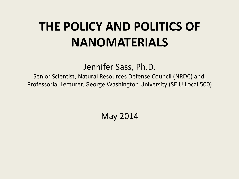# **THE POLICY AND POLITICS OF NANOMATERIALS**

Jennifer Sass, Ph.D.

Senior Scientist, Natural Resources Defense Council (NRDC) and, Professorial Lecturer, George Washington University (SEIU Local 500)

May 2014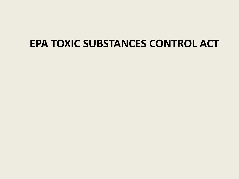# **EPA TOXIC SUBSTANCES CONTROL ACT**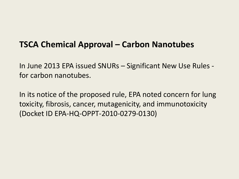#### **TSCA Chemical Approval – Carbon Nanotubes**

In June 2013 EPA issued SNURs – Significant New Use Rules for carbon nanotubes.

In its notice of the proposed rule, EPA noted concern for lung toxicity, fibrosis, cancer, mutagenicity, and immunotoxicity (Docket ID EPA-HQ-OPPT-2010-0279-0130)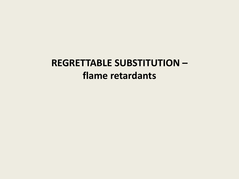# **REGRETTABLE SUBSTITUTION – flame retardants**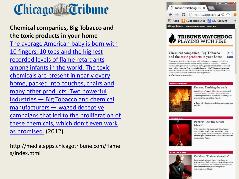# **Chicagone Tribune**

**Chemical companies, Big Tobacco and the toxic products in your home** [The average American baby is born with](http://www.chicagotribune.com/videogallery/69743455/News/Video-The-truth-about-flame-retardants)  [10 fingers, 10 toes and the highest](http://www.chicagotribune.com/videogallery/69743455/News/Video-The-truth-about-flame-retardants)  [recorded levels of flame retardants](http://www.chicagotribune.com/videogallery/69743455/News/Video-The-truth-about-flame-retardants)  [among infants in the world. The toxic](http://www.chicagotribune.com/videogallery/69743455/News/Video-The-truth-about-flame-retardants)  [chemicals are present in nearly every](http://www.chicagotribune.com/videogallery/69743455/News/Video-The-truth-about-flame-retardants)  [home, packed into couches, chairs and](http://www.chicagotribune.com/videogallery/69743455/News/Video-The-truth-about-flame-retardants)  [many other products. Two powerful](http://www.chicagotribune.com/videogallery/69743455/News/Video-The-truth-about-flame-retardants)  [industries](http://www.chicagotribune.com/videogallery/69743455/News/Video-The-truth-about-flame-retardants) [—](http://www.chicagotribune.com/videogallery/69743455/News/Video-The-truth-about-flame-retardants) [Big Tobacco and chemical](http://www.chicagotribune.com/videogallery/69743455/News/Video-The-truth-about-flame-retardants)  [manufacturers](http://www.chicagotribune.com/videogallery/69743455/News/Video-The-truth-about-flame-retardants) [—](http://www.chicagotribune.com/videogallery/69743455/News/Video-The-truth-about-flame-retardants) [waged deceptive](http://www.chicagotribune.com/videogallery/69743455/News/Video-The-truth-about-flame-retardants)  [campaigns that led to the proliferation of](http://www.chicagotribune.com/videogallery/69743455/News/Video-The-truth-about-flame-retardants)  [these chemicals, which don't even work](http://www.chicagotribune.com/videogallery/69743455/News/Video-The-truth-about-flame-retardants)  [as promised.](http://www.chicagotribune.com/videogallery/69743455/News/Video-The-truth-about-flame-retardants) (2012)

http://media.apps.chicagotribune.com/flame s/index.html

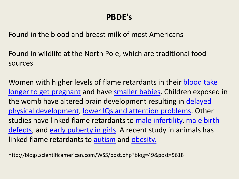### **PBDE's**

Found in the blood and breast milk of most Americans

Found in wildlife at the North Pole, which are traditional food sources

Women with higher levels of flame retardants in their [blood take](http://www.environmentalhealthnews.org/ehs/newscience/flame-retardants-associated-with-increased-time-to-pregnancy/)  [longer to get pregnant](http://www.environmentalhealthnews.org/ehs/newscience/flame-retardants-associated-with-increased-time-to-pregnancy/) and have [smaller babies](http://aje.oxfordjournals.org/content/174/8/885.abstract). Children exposed in the womb have altered brain development resulting in [delayed](http://www.ncbi.nlm.nih.gov/pubmed/20056561)  [physical development,](http://www.ncbi.nlm.nih.gov/pubmed/20056561) [lower IQs and attention problems.](http://www.environmentalhealthnews.org/ehs/newscience/2012/11/2013-0205-prenatal-child-pbde-iq-attention-deficits/) Other studies have linked flame retardants to [male infertility](http://www.ncbi.nlm.nih.gov/pmc/articles/PMC2854757/?report=abstract), male birth [defects](http://www.ncbi.nlm.nih.gov/pmc/articles/PMC2022640/), and [early puberty in girls](http://www.sciencedirect.com/science/article/pii/S0013935111001459). A recent study in animals has linked flame retardants to [autism](http://www.environmentalhealthnews.org/ehs/newscience/2012/05/2012-0702-pbdes-autism-environment-gene-link) and [obesity.](http://onlinelibrary.wiley.com/doi/10.1002/jbt.21439/abstract?deniedAccessCustomisedMessage=&userIsAuthenticated=false)

http://blogs.scientificamerican.com/WSS/post.php?blog=49&post=5618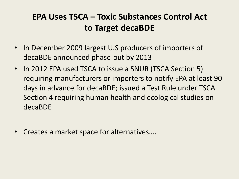## **EPA Uses TSCA – Toxic Substances Control Act to Target decaBDE**

- In December 2009 largest U.S producers of importers of decaBDE announced phase-out by 2013
- In 2012 EPA used TSCA to issue a SNUR (TSCA Section 5) requiring manufacturers or importers to notify EPA at least 90 days in advance for decaBDE; issued a Test Rule under TSCA Section 4 requiring human health and ecological studies on decaBDE
- Creates a market space for alternatives….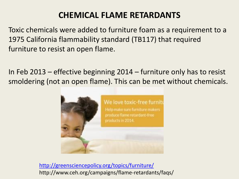#### **CHEMICAL FLAME RETARDANTS**

Toxic chemicals were added to furniture foam as a requirement to a 1975 California flammability standard (TB117) that required furniture to resist an open flame.

In Feb 2013 – effective beginning 2014 – furniture only has to resist smoldering (not an open flame). This can be met without chemicals.



#### <http://greensciencepolicy.org/topics/furniture/> http://www.ceh.org/campaigns/flame-retardants/faqs/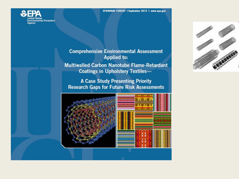EPA/600/R-12/043F I September 2013 | www.epa.gov



**Comprehensive Environmental Assessment Applied to: Multiwalled Carbon Nanotube Flame-Retardant Coatings in Upholstery Textiles-**

**A Case Study Presenting Priority Research Gaps for Future Risk Assessments** 



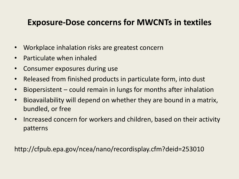#### **Exposure-Dose concerns for MWCNTs in textiles**

- Workplace inhalation risks are greatest concern
- Particulate when inhaled
- Consumer exposures during use
- Released from finished products in particulate form, into dust
- Biopersistent could remain in lungs for months after inhalation
- Bioavailability will depend on whether they are bound in a matrix, bundled, or free
- Increased concern for workers and children, based on their activity patterns

http://cfpub.epa.gov/ncea/nano/recordisplay.cfm?deid=253010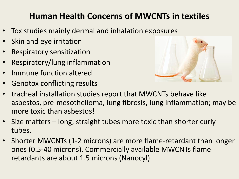## **Human Health Concerns of MWCNTs in textiles**

- Tox studies mainly dermal and inhalation exposures
- Skin and eye irritation
- Respiratory sensitization
- Respiratory/lung inflammation
- Immune function altered
- Genotox conflicting results



- tracheal installation studies report that MWCNTs behave like asbestos, pre-mesothelioma, lung fibrosis, lung inflammation; may be more toxic than asbestos!
- Size matters long, straight tubes more toxic than shorter curly tubes.
- Shorter MWCNTs (1-2 microns) are more flame-retardant than longer ones (0.5-40 microns). Commercially available MWCNTs flame retardants are about 1.5 microns (Nanocyl).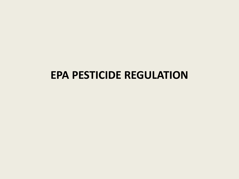# **EPA PESTICIDE REGULATION**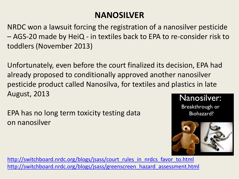### **NANOSILVER**

NRDC won a lawsuit forcing the registration of a nanosilver pesticide – AGS-20 made by HeiQ - in textiles back to EPA to re-consider risk to toddlers (November 2013)

Unfortunately, even before the court finalized its decision, EPA had already proposed to conditionally approved another nanosilver pesticide product called Nanosilva, for textiles and plastics in late August, 2013

EPA has no long term toxicity testing data on nanosilver

Nanosilver: Breakthrough or Biohazard?



[http://switchboard.nrdc.org/blogs/jsass/court\\_rules\\_in\\_nrdcs\\_favor\\_to.html](http://switchboard.nrdc.org/blogs/jsass/court_rules_in_nrdcs_favor_to.html) [http://switchboard.nrdc.org/blogs/jsass/greenscreen\\_hazard\\_assessment.html](http://switchboard.nrdc.org/blogs/jsass/greenscreen_hazard_assessment.html)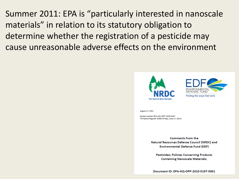Summer 2011: EPA is "particularly interested in nanoscale materials" in relation to its statutory obligation to determine whether the registration of a pesticide may cause unreasonable adverse effects on the environment



August 17, 2011

Docket number EPA-HQ-OPP-2010-0197 76 Federal Register 35383 (Friday, June 17, 2011)

> Comments from the Natural Resources Defense Council (NRDC) and **Environmental Defense Fund (EDF)**

**Pesticides; Policies Concerning Products Containing Nanoscale Materials;** 

Document ID: EPA-HQ-OPP-2010-0197-0001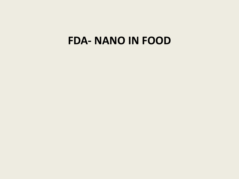# **FDA- NANO IN FOOD**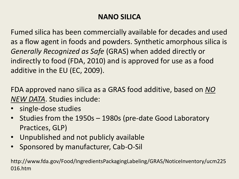#### **NANO SILICA**

Fumed silica has been commercially available for decades and used as a flow agent in foods and powders. Synthetic amorphous silica is *Generally Recognized as Safe* (GRAS) when added directly or indirectly to food (FDA, 2010) and is approved for use as a food additive in the EU (EC, 2009).

FDA approved nano silica as a GRAS food additive, based on *NO NEW DATA*. Studies include:

- single-dose studies
- Studies from the 1950s 1980s (pre-date Good Laboratory Practices, GLP)
- Unpublished and not publicly available
- Sponsored by manufacturer, Cab-O-Sil

http://www.fda.gov/Food/IngredientsPackagingLabeling/GRAS/NoticeInventory/ucm225 016.htm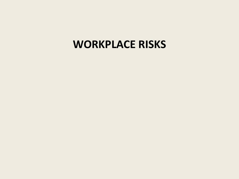# **WORKPLACE RISKS**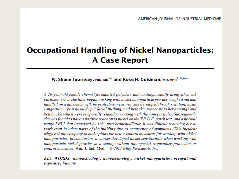#### **Occupational Handling of Nickel Nanoparticles: A Case Report**

#### W. Shane Journeay, PhD, MD<sup>1</sup><sup>o</sup> and Rose H. Goldman, MD, MPH<sup>2,3,400</sup>

A 26-year-old female chemist formulated polymers and coatings usually using silver ink particles. When she later began working with nickel nanoparticle powder weighed out and handled on a lab bench with no protective measures, she developed throat irritation, nasal congestion, "post nasal drip," facial flushing, and new skin reactions to her earrings and belt buckle which were temporally related to working with the nanoparticles. Subsequently she was found to have a positive reaction to nickel on the T.R.U.E. patch test, and a normal range FEV1 that increased by 16% post bronchodilator. It was difficult returning her to work even in other parts of the building due to recurrence of symptoms. This incident triggered the company to make plans for better control measures for working with nickel nanoparticles. In conclusion, a worker developed nickel sensitization when working with nanoparticle nickel powder in a setting without any special respiratory protection or control measures. Am. J. Ind. Med. © 2014 Wiley Periodicals, Inc.

KEY WORDS: nanotoxicology; nanotechnology; nickel nanoparticles; occupational exposure; humans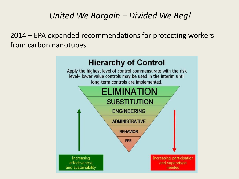#### *United We Bargain – Divided We Beg!*

2014 – EPA expanded recommendations for protecting workers from carbon nanotubes

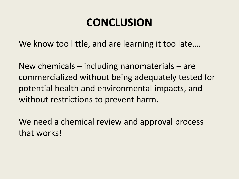# **CONCLUSION**

We know too little, and are learning it too late....

New chemicals – including nanomaterials – are commercialized without being adequately tested for potential health and environmental impacts, and without restrictions to prevent harm.

We need a chemical review and approval process that works!